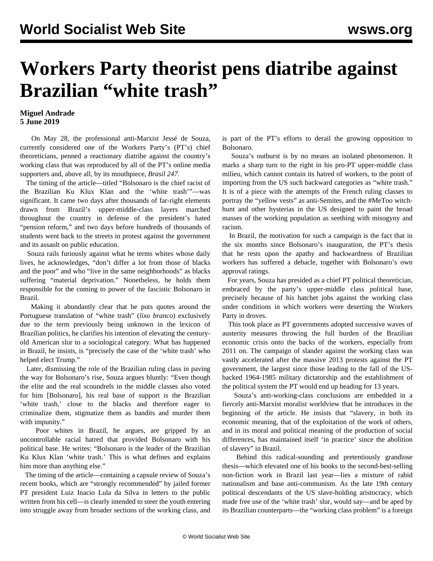## **Workers Party theorist pens diatribe against Brazilian "white trash"**

## **Miguel Andrade 5 June 2019**

 On May 28, the professional anti-Marxist Jessé de Souza, currently considered one of the Workers Party's (PT's) chief theoreticians, penned a reactionary diatribe against the country's working class that was reproduced by all of the PT's online media supporters and, above all, by its mouthpiece, *Brasil 247*.

 The timing of the article—titled "Bolsonaro is the chief racist of the Brazilian Ku Klux Klan and the 'white trash'"—was significant. It came two days after thousands of far-right elements drawn from Brazil's upper-middle-class layers marched throughout the country in defense of the president's hated "pension reform," and two days before hundreds of thousands of students went back to the streets in protest against the government and its assault on public education.

 Souza rails furiously against what he terms whites whose daily lives, he acknowledges, "don't differ a lot from those of blacks and the poor" and who "live in the same neighborhoods" as blacks suffering "material deprivation." Nonetheless, he holds them responsible for the coming to power of the fascistic Bolsonaro in Brazil.

 Making it abundantly clear that he puts quotes around the Portuguese translation of "white trash" (*lixo branco*) exclusively due to the term previously being unknown in the lexicon of Brazilian politics, he clarifies his intention of elevating the centuryold American slur to a sociological category. What has happened in Brazil, he insists, is "precisely the case of the 'white trash' who helped elect Trump."

 Later, dismissing the role of the Brazilian ruling class in paving the way for Bolsonaro's rise, Souza argues bluntly: "Even though the elite and the real scoundrels in the middle classes also voted for him [Bolsonaro], his real base of support is the Brazilian 'white trash,' close to the blacks and therefore eager to criminalize them, stigmatize them as bandits and murder them with impunity."

 Poor whites in Brazil, he argues, are gripped by an uncontrollable racial hatred that provided Bolsonaro with his political base. He writes: "Bolsonaro is the leader of the Brazilian Ku Klux Klan 'white trash.' This is what defines and explains him more than anything else."

 The timing of the article—containing a capsule review of Souza's recent books, which are "strongly recommended" by jailed former PT president Luiz Inacio Lula da Silva in letters to the public written from his cell—is clearly intended to steer the youth entering into struggle away from broader sections of the working class, and is part of the PT's efforts to derail the growing opposition to Bolsonaro.

 Souza's outburst is by no means an isolated phenomenon. It marks a sharp turn to the right in his pro-PT upper-middle class milieu, which cannot contain its hatred of workers, to the point of importing from the US such backward categories as "white trash." It is of a piece with the attempts of the French ruling classes to portray the "yellow vests" as anti-Semites, and the #MeToo witchhunt and other hysterias in the US designed to paint the broad masses of the working population as seething with misogyny and racism.

 In Brazil, the motivation for such a campaign is the fact that in the six months since Bolsonaro's inauguration, the PT's thesis that he rests upon the apathy and backwardness of Brazilian workers has suffered a debacle, together with Bolsonaro's own approval ratings.

 For years, Souza has presided as a chief PT political theoretician, embraced by the party's upper-middle class political base, precisely because of his hatchet jobs against the working class under conditions in which workers were deserting the Workers Party in droves.

 This took place as PT governments adopted successive waves of austerity measures throwing the full burden of the Brazilian economic crisis onto the backs of the workers, especially from 2011 on. The campaign of slander against the working class was vastly accelerated after the massive 2013 protests against the PT government, the largest since those leading to the fall of the USbacked 1964-1985 military dictatorship and the establishment of the political system the PT would end up heading for 13 years.

 Souza's anti-working-class conclusions are embedded in a fiercely anti-Marxist moralist worldview that he introduces in the beginning of the article. He insists that "slavery, in both its economic meaning, that of the exploitation of the work of others, and in its moral and political meaning of the production of social differences, has maintained itself 'in practice' since the abolition of slavery" in Brazil.

 Behind this radical-sounding and pretentiously grandiose thesis—which elevated one of his books to the second-best-selling non-fiction work in Brazil last year—lies a mixture of rabid nationalism and base anti-communism. As the late 19th century political descendants of the US slave-holding aristocracy, which made free use of the 'white trash' slur, would say—and be aped by its Brazilian counterparts—the "working class problem" is a foreign